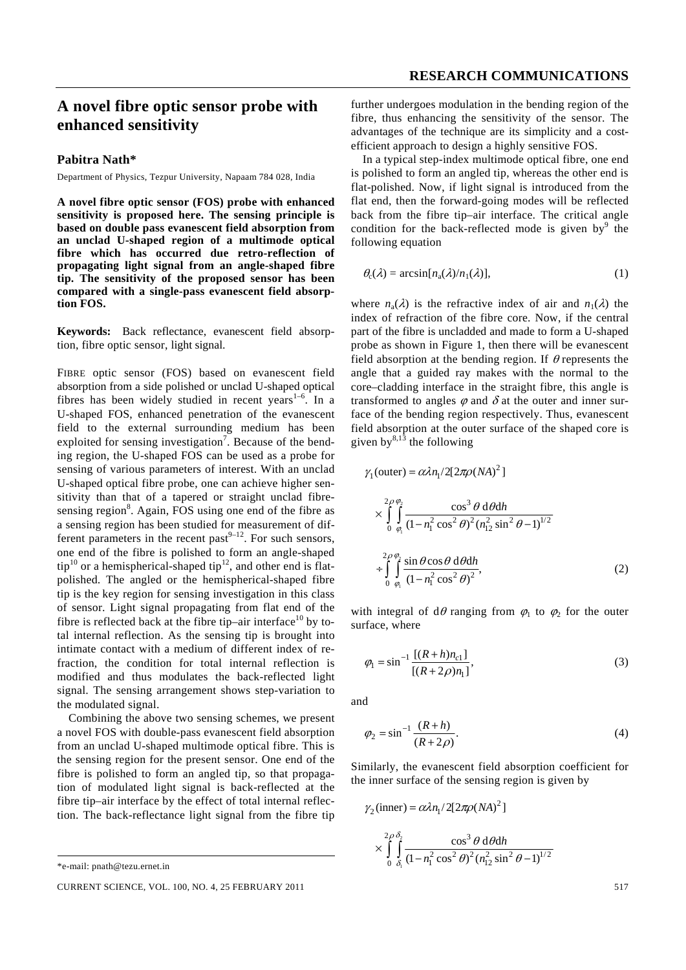## **A novel fibre optic sensor probe with enhanced sensitivity**

## **Pabitra Nath\***

Department of Physics, Tezpur University, Napaam 784 028, India

**A novel fibre optic sensor (FOS) probe with enhanced sensitivity is proposed here. The sensing principle is based on double pass evanescent field absorption from an unclad U-shaped region of a multimode optical fibre which has occurred due retro-reflection of propagating light signal from an angle-shaped fibre tip. The sensitivity of the proposed sensor has been compared with a single-pass evanescent field absorption FOS.** 

**Keywords:** Back reflectance, evanescent field absorption, fibre optic sensor, light signal.

FIBRE optic sensor (FOS) based on evanescent field absorption from a side polished or unclad U-shaped optical fibres has been widely studied in recent years<sup>1-6</sup>. In a U-shaped FOS, enhanced penetration of the evanescent field to the external surrounding medium has been exploited for sensing investigation<sup>7</sup>. Because of the bending region, the U-shaped FOS can be used as a probe for sensing of various parameters of interest. With an unclad U-shaped optical fibre probe, one can achieve higher sensitivity than that of a tapered or straight unclad fibresensing region<sup>8</sup>. Again, FOS using one end of the fibre as a sensing region has been studied for measurement of different parameters in the recent past $9-12$ . For such sensors, one end of the fibre is polished to form an angle-shaped tip<sup>10</sup> or a hemispherical-shaped tip<sup>12</sup>, and other end is flatpolished. The angled or the hemispherical-shaped fibre tip is the key region for sensing investigation in this class of sensor. Light signal propagating from flat end of the fibre is reflected back at the fibre tip–air interface<sup>10</sup> by total internal reflection. As the sensing tip is brought into intimate contact with a medium of different index of refraction, the condition for total internal reflection is modified and thus modulates the back-reflected light signal. The sensing arrangement shows step-variation to the modulated signal.

 Combining the above two sensing schemes, we present a novel FOS with double-pass evanescent field absorption from an unclad U-shaped multimode optical fibre. This is the sensing region for the present sensor. One end of the fibre is polished to form an angled tip, so that propagation of modulated light signal is back-reflected at the fibre tip–air interface by the effect of total internal reflection. The back-reflectance light signal from the fibre tip

\*e-mail: pnath@tezu.ernet.in

CURRENT SCIENCE, VOL. 100, NO. 4, 25 FEBRUARY 2011 517 517

further undergoes modulation in the bending region of the fibre, thus enhancing the sensitivity of the sensor. The advantages of the technique are its simplicity and a costefficient approach to design a highly sensitive FOS.

 In a typical step-index multimode optical fibre, one end is polished to form an angled tip, whereas the other end is flat-polished. Now, if light signal is introduced from the flat end, then the forward-going modes will be reflected back from the fibre tip–air interface. The critical angle condition for the back-reflected mode is given by $9$  the following equation

$$
\theta_{\rm c}(\lambda) = \arcsin[n_{\rm a}(\lambda)/n_1(\lambda)],\tag{1}
$$

where  $n_a(\lambda)$  is the refractive index of air and  $n_1(\lambda)$  the index of refraction of the fibre core. Now, if the central part of the fibre is uncladded and made to form a U-shaped probe as shown in Figure 1, then there will be evanescent field absorption at the bending region. If  $\theta$  represents the angle that a guided ray makes with the normal to the core–cladding interface in the straight fibre, this angle is transformed to angles  $\varphi$  and  $\delta$  at the outer and inner surface of the bending region respectively. Thus, evanescent field absorption at the outer surface of the shaped core is given by $^{8,1\bar{3}}$  the following

$$
\gamma_1(\text{outer}) = \alpha \lambda n_1 / 2[2\pi \rho (NA)^2]
$$
\n
$$
\times \int_{0}^{2\rho \rho_2} \frac{\cos^3 \theta \, \text{d} \theta \, \text{d} h}{(1 - n_1^2 \cos^2 \theta)^2 (n_1^2 \sin^2 \theta - 1)^{1/2}}
$$
\n
$$
\div \int_{0}^{2\rho \rho_2} \frac{\sin \theta \cos \theta \, \text{d} \theta \, \text{d} h}{(1 - n_1^2 \cos^2 \theta)^2},
$$
\n(2)

with integral of  $d\theta$  ranging from  $\varphi_1$  to  $\varphi_2$  for the outer surface, where

$$
\varphi_1 = \sin^{-1} \frac{[(R+h)n_{c1}]}{[(R+2\rho)n_1]},
$$
\n(3)

and

$$
\varphi_2 = \sin^{-1} \frac{(R+h)}{(R+2\rho)}.\tag{4}
$$

Similarly, the evanescent field absorption coefficient for the inner surface of the sensing region is given by

$$
\gamma_2(\text{inner}) = \alpha \lambda n_1 / 2[2\pi \rho (NA)^2]
$$
  
 
$$
\times \int_{0}^{2\rho \delta_2} \int_{\delta_1}^{2} \frac{\cos^3 \theta \, d\theta \, dh}{(1 - n_1^2 \cos^2 \theta)^2 (n_1^2 \sin^2 \theta - 1)^{1/2}}
$$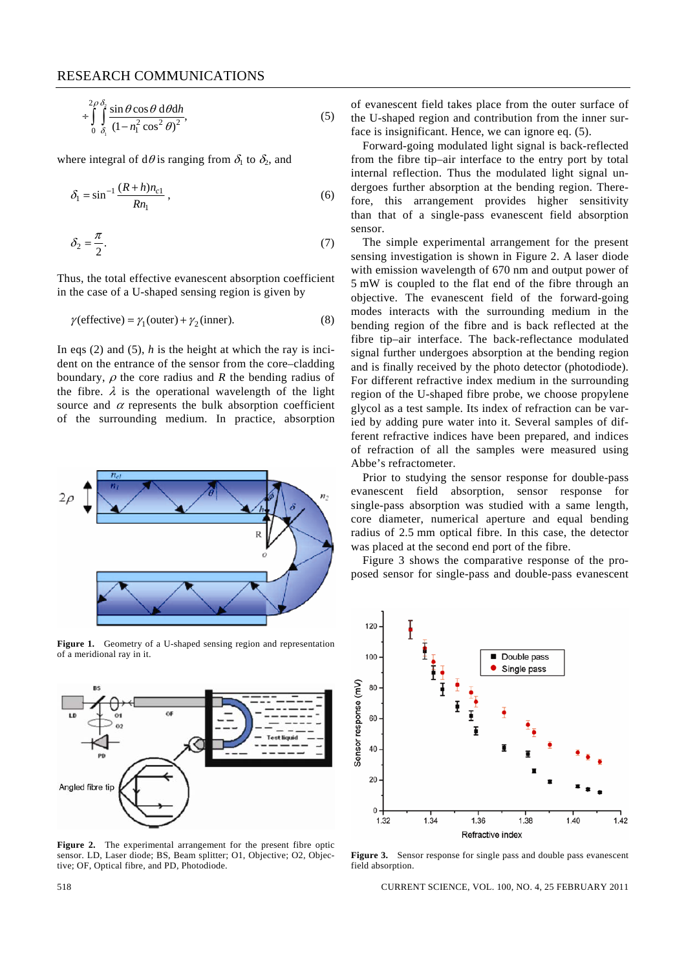$$
\div \int_{0}^{2\rho} \int_{\delta_1}^{\delta_2} \frac{\sin \theta \cos \theta \, d\theta \, dh}{\left(1 - n_1^2 \cos^2 \theta\right)^2},\tag{5}
$$

where integral of d $\theta$  is ranging from  $\delta_1$  to  $\delta_2$ , and

$$
\delta_1 = \sin^{-1} \frac{(R+h)n_{c1}}{Rn_1},
$$
\n(6)

$$
\delta_2 = \frac{\pi}{2}.\tag{7}
$$

Thus, the total effective evanescent absorption coefficient in the case of a U-shaped sensing region is given by

$$
\gamma(\text{effective}) = \gamma_1(\text{outer}) + \gamma_2(\text{inner}).\tag{8}
$$

In eqs (2) and (5),  $h$  is the height at which the ray is incident on the entrance of the sensor from the core–cladding boundary,  $\rho$  the core radius and *R* the bending radius of the fibre.  $\lambda$  is the operational wavelength of the light source and  $\alpha$  represents the bulk absorption coefficient of the surrounding medium. In practice, absorption



Figure 1. Geometry of a U-shaped sensing region and representation of a meridional ray in it.



**Figure 2.** The experimental arrangement for the present fibre optic sensor. LD, Laser diode; BS, Beam splitter; O1, Objective; O2, Objective; OF, Optical fibre, and PD, Photodiode.

of evanescent field takes place from the outer surface of the U-shaped region and contribution from the inner surface is insignificant. Hence, we can ignore eq. (5).

 Forward-going modulated light signal is back-reflected from the fibre tip–air interface to the entry port by total internal reflection. Thus the modulated light signal undergoes further absorption at the bending region. Therefore, this arrangement provides higher sensitivity than that of a single-pass evanescent field absorption sensor.

 The simple experimental arrangement for the present sensing investigation is shown in Figure 2. A laser diode with emission wavelength of 670 nm and output power of 5 mW is coupled to the flat end of the fibre through an objective. The evanescent field of the forward-going modes interacts with the surrounding medium in the bending region of the fibre and is back reflected at the fibre tip–air interface. The back-reflectance modulated signal further undergoes absorption at the bending region and is finally received by the photo detector (photodiode). For different refractive index medium in the surrounding region of the U-shaped fibre probe, we choose propylene glycol as a test sample. Its index of refraction can be varied by adding pure water into it. Several samples of different refractive indices have been prepared, and indices of refraction of all the samples were measured using Abbe's refractometer.

 Prior to studying the sensor response for double-pass evanescent field absorption, sensor response for single-pass absorption was studied with a same length, core diameter, numerical aperture and equal bending radius of 2.5 mm optical fibre. In this case, the detector was placed at the second end port of the fibre.

 Figure 3 shows the comparative response of the proposed sensor for single-pass and double-pass evanescent



**Figure 3.** Sensor response for single pass and double pass evanescent field absorption.